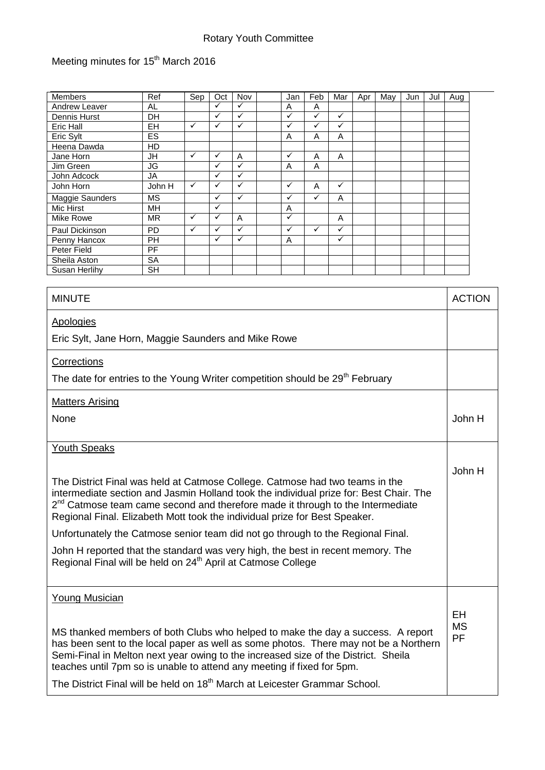## Rotary Youth Committee

## Meeting minutes for 15<sup>th</sup> March 2016

| <b>Members</b>  | Ref       | Sep          | Oct          | Nov          | Jan          | Feb          | Mar          | Apr | May | Jun | Jul | Aug |
|-----------------|-----------|--------------|--------------|--------------|--------------|--------------|--------------|-----|-----|-----|-----|-----|
| Andrew Leaver   | AL.       |              | $\checkmark$ | $\checkmark$ | A            | A            |              |     |     |     |     |     |
| Dennis Hurst    | DH        |              | ✓            | $\checkmark$ | $\checkmark$ | $\checkmark$ | ✓            |     |     |     |     |     |
| Eric Hall       | <b>EH</b> | $\checkmark$ | ✓            | ✓            | $\checkmark$ | ✓            | ✓            |     |     |     |     |     |
| Eric Sylt       | ES        |              |              |              | A            | A            | A            |     |     |     |     |     |
| Heena Dawda     | HD        |              |              |              |              |              |              |     |     |     |     |     |
| Jane Horn       | <b>JH</b> | ✓            | ✓            | A            | ✓            | A            | A            |     |     |     |     |     |
| Jim Green       | JG        |              | $\checkmark$ | ✓            | A            | A            |              |     |     |     |     |     |
| John Adcock     | JA        |              | $\checkmark$ | ✓            |              |              |              |     |     |     |     |     |
| John Horn       | John H    | $\checkmark$ | ✓            | ✓            | $\checkmark$ | A            | ✓            |     |     |     |     |     |
| Maggie Saunders | <b>MS</b> |              | ✓            | $\checkmark$ | ✓            | ✓            | A            |     |     |     |     |     |
| Mic Hirst       | MН        |              | ✓            |              | A            |              |              |     |     |     |     |     |
| Mike Rowe       | <b>MR</b> | ✓            | $\checkmark$ | A            | $\checkmark$ |              | A            |     |     |     |     |     |
| Paul Dickinson  | <b>PD</b> | ✓            | ✓            | ✓            | $\checkmark$ | ✓            | ✓            |     |     |     |     |     |
| Penny Hancox    | <b>PH</b> |              | $\checkmark$ | ✓            | A            |              | $\checkmark$ |     |     |     |     |     |
| Peter Field     | <b>PF</b> |              |              |              |              |              |              |     |     |     |     |     |
| Sheila Aston    | <b>SA</b> |              |              |              |              |              |              |     |     |     |     |     |
| Susan Herlihy   | <b>SH</b> |              |              |              |              |              |              |     |     |     |     |     |

| <b>MINUTE</b>                                                                                                                                                                                                                                                                                                                                                                                                                                                                                                                                                                                 | <b>ACTION</b>                |
|-----------------------------------------------------------------------------------------------------------------------------------------------------------------------------------------------------------------------------------------------------------------------------------------------------------------------------------------------------------------------------------------------------------------------------------------------------------------------------------------------------------------------------------------------------------------------------------------------|------------------------------|
| Apologies                                                                                                                                                                                                                                                                                                                                                                                                                                                                                                                                                                                     |                              |
| Eric Sylt, Jane Horn, Maggie Saunders and Mike Rowe                                                                                                                                                                                                                                                                                                                                                                                                                                                                                                                                           |                              |
| Corrections                                                                                                                                                                                                                                                                                                                                                                                                                                                                                                                                                                                   |                              |
| The date for entries to the Young Writer competition should be 29 <sup>th</sup> February                                                                                                                                                                                                                                                                                                                                                                                                                                                                                                      |                              |
| <b>Matters Arising</b>                                                                                                                                                                                                                                                                                                                                                                                                                                                                                                                                                                        |                              |
| None                                                                                                                                                                                                                                                                                                                                                                                                                                                                                                                                                                                          | John H                       |
| <b>Youth Speaks</b>                                                                                                                                                                                                                                                                                                                                                                                                                                                                                                                                                                           |                              |
| The District Final was held at Catmose College. Catmose had two teams in the<br>intermediate section and Jasmin Holland took the individual prize for: Best Chair. The<br>$2^{nd}$ Catmose team came second and therefore made it through to the Intermediate<br>Regional Final. Elizabeth Mott took the individual prize for Best Speaker.<br>Unfortunately the Catmose senior team did not go through to the Regional Final.<br>John H reported that the standard was very high, the best in recent memory. The<br>Regional Final will be held on 24 <sup>th</sup> April at Catmose College | John H                       |
| <b>Young Musician</b><br>MS thanked members of both Clubs who helped to make the day a success. A report<br>has been sent to the local paper as well as some photos. There may not be a Northern<br>Semi-Final in Melton next year owing to the increased size of the District. Sheila<br>teaches until 7pm so is unable to attend any meeting if fixed for 5pm.<br>The District Final will be held on 18 <sup>th</sup> March at Leicester Grammar School.                                                                                                                                    | <b>EH</b><br><b>MS</b><br>PF |